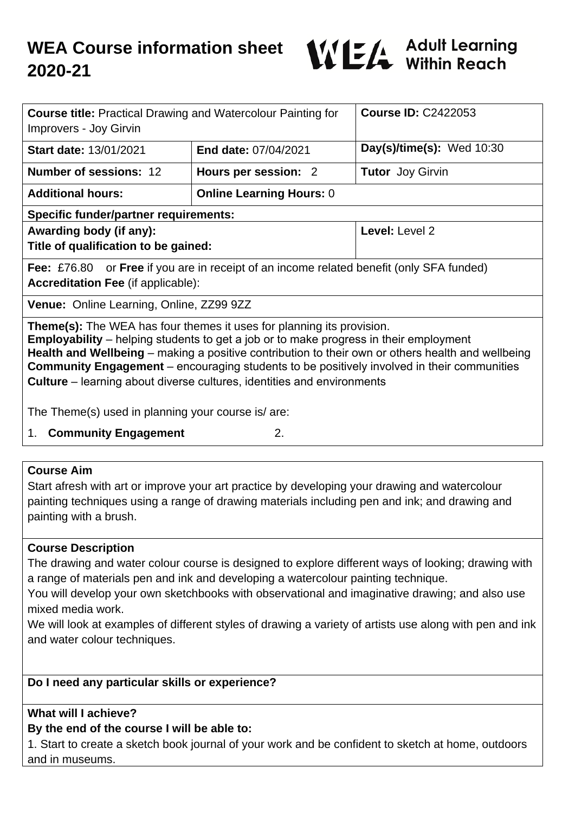

| <b>Course title: Practical Drawing and Watercolour Painting for</b><br>Improvers - Joy Girvin                                                                                                                                                                                                                                                                                                                                                                           |                                 | <b>Course ID: C2422053</b>  |
|-------------------------------------------------------------------------------------------------------------------------------------------------------------------------------------------------------------------------------------------------------------------------------------------------------------------------------------------------------------------------------------------------------------------------------------------------------------------------|---------------------------------|-----------------------------|
| <b>Start date: 13/01/2021</b>                                                                                                                                                                                                                                                                                                                                                                                                                                           | End date: 07/04/2021            | Day(s)/time(s): Wed $10:30$ |
| <b>Number of sessions: 12</b>                                                                                                                                                                                                                                                                                                                                                                                                                                           | Hours per session: 2            | <b>Tutor</b> Joy Girvin     |
| <b>Additional hours:</b>                                                                                                                                                                                                                                                                                                                                                                                                                                                | <b>Online Learning Hours: 0</b> |                             |
| <b>Specific funder/partner requirements:</b>                                                                                                                                                                                                                                                                                                                                                                                                                            |                                 |                             |
| Awarding body (if any):<br>Title of qualification to be gained:                                                                                                                                                                                                                                                                                                                                                                                                         |                                 | Level: Level 2              |
| <b>Fee:</b> £76.80 or <b>Free</b> if you are in receipt of an income related benefit (only SFA funded)<br><b>Accreditation Fee (if applicable):</b>                                                                                                                                                                                                                                                                                                                     |                                 |                             |
| Venue: Online Learning, Online, ZZ99 9ZZ                                                                                                                                                                                                                                                                                                                                                                                                                                |                                 |                             |
| <b>Theme(s):</b> The WEA has four themes it uses for planning its provision.<br><b>Employability</b> – helping students to get a job or to make progress in their employment<br>Health and Wellbeing – making a positive contribution to their own or others health and wellbeing<br><b>Community Engagement</b> – encouraging students to be positively involved in their communities<br><b>Culture</b> – learning about diverse cultures, identities and environments |                                 |                             |
| The Theme(s) used in planning your course is/ are:                                                                                                                                                                                                                                                                                                                                                                                                                      |                                 |                             |

1. **Community Engagement** 2.

## **Course Aim**

Start afresh with art or improve your art practice by developing your drawing and watercolour painting techniques using a range of drawing materials including pen and ink; and drawing and painting with a brush.

## **Course Description**

The drawing and water colour course is designed to explore different ways of looking; drawing with a range of materials pen and ink and developing a watercolour painting technique.

You will develop your own sketchbooks with observational and imaginative drawing; and also use mixed media work.

We will look at examples of different styles of drawing a variety of artists use along with pen and ink and water colour techniques.

## **Do I need any particular skills or experience?**

## **What will I achieve?**

# **By the end of the course I will be able to:**

1. Start to create a sketch book journal of your work and be confident to sketch at home, outdoors and in museums.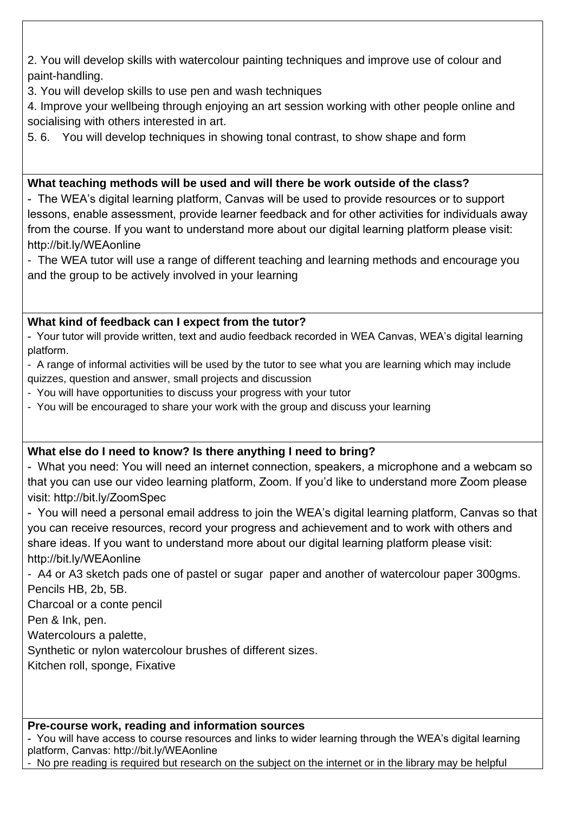2. You will develop skills with watercolour painting techniques and improve use of colour and paint-handling.

3. You will develop skills to use pen and wash techniques

4. Improve your wellbeing through enjoying an art session working with other people online and socialising with others interested in art.

5. 6. You will develop techniques in showing tonal contrast, to show shape and form

## **What teaching methods will be used and will there be work outside of the class?**

- The WEA's digital learning platform, Canvas will be used to provide resources or to support lessons, enable assessment, provide learner feedback and for other activities for individuals away from the course. If you want to understand more about our digital learning platform please visit: http://bit.ly/WEAonline

- The WEA tutor will use a range of different teaching and learning methods and encourage you and the group to be actively involved in your learning

## **What kind of feedback can I expect from the tutor?**

- Your tutor will provide written, text and audio feedback recorded in WEA Canvas, WEA's digital learning platform.

- A range of informal activities will be used by the tutor to see what you are learning which may include quizzes, question and answer, small projects and discussion

- You will have opportunities to discuss your progress with your tutor

- You will be encouraged to share your work with the group and discuss your learning

## **What else do I need to know? Is there anything I need to bring?**

- What you need: You will need an internet connection, speakers, a microphone and a webcam so that you can use our video learning platform, Zoom. If you'd like to understand more Zoom please visit: http://bit.ly/ZoomSpec

- You will need a personal email address to join the WEA's digital learning platform, Canvas so that you can receive resources, record your progress and achievement and to work with others and share ideas. If you want to understand more about our digital learning platform please visit: http://bit.ly/WEAonline

- A4 or A3 sketch pads one of pastel or sugar paper and another of watercolour paper 300gms. Pencils HB, 2b, 5B.

Charcoal or a conte pencil

Pen & Ink, pen.

Watercolours a palette,

Synthetic or nylon watercolour brushes of different sizes.

Kitchen roll, sponge, Fixative

## **Pre-course work, reading and information sources**

- You will have access to course resources and links to wider learning through the WEA's digital learning platform, Canvas: http://bit.ly/WEAonline

- No pre reading is required but research on the subject on the internet or in the library may be helpful